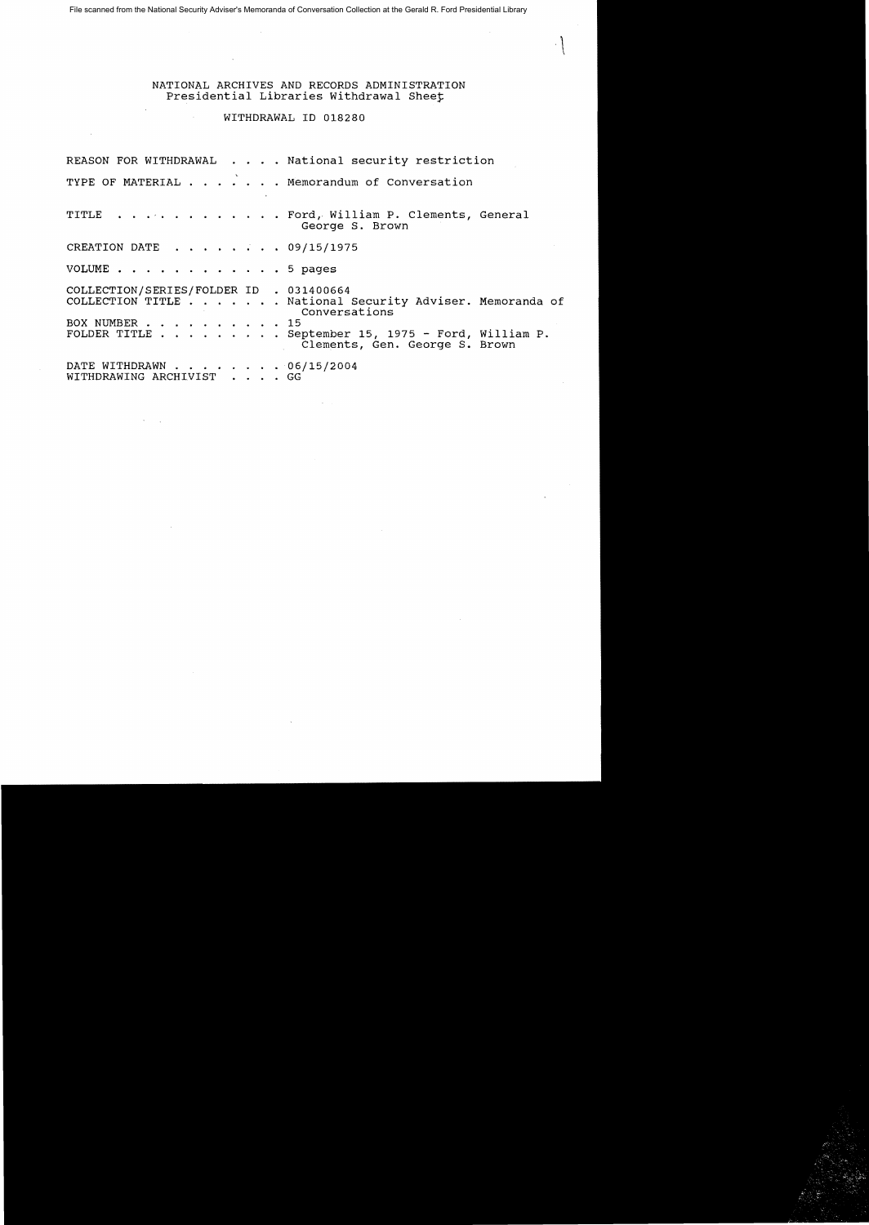File scanned from the National Security Adviser's Memoranda of Conversation Collection at the Gerald R. Ford Presidential Library

NATIONAL ARCHIVES AND RECORDS ADMINISTRATION Presidential Libraries Withdrawal Sheet

## WITHDRAWAL 10 018280

 $\sim$ 

REASON FOR WITHDRAWAL . . . . National security restriction TYPE OF MATERIAL . . . . . . Memorandum of Conversation TITLE . . . . . . . . . . . . Ford, William P. Clements, General George S. Brown CREATION DATE . . . . . . . 09/15/1975 VOLUME . . . . . . . . . . . . 5 pages COLLECTION/SERIES/FOLDER 10 . 031400664 COLLECTION TITLE. . . . National security Adviser. Memoranda of Conversations<br>15 BOX NUMBER . . . . . . . . . . FOLDER TITLE . . ... September 15, 1975 - Ford, William P. Clements, Gen. George S. Brown DATE WITHDRAWN . . . . . . . 06/15/2004 WITHDRAWING ARCHIVIST . . . . GG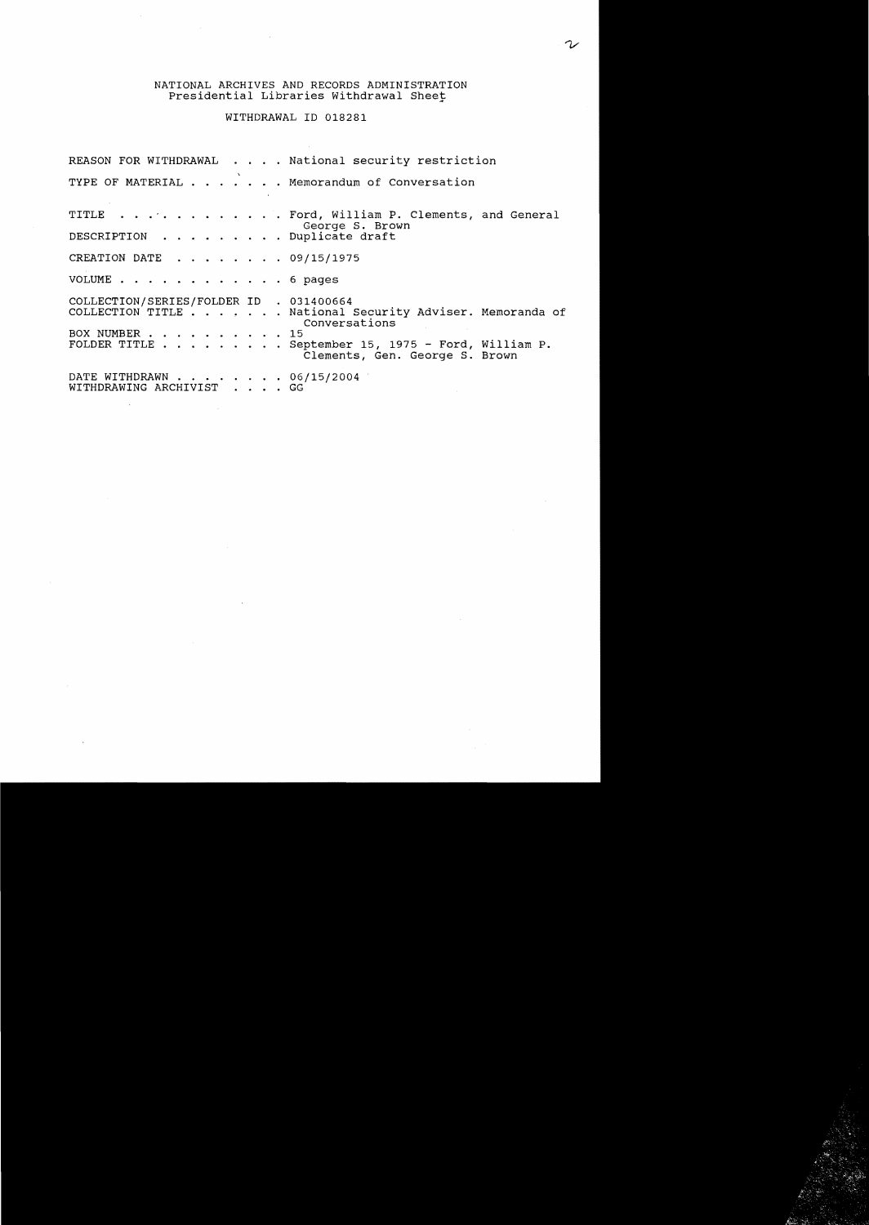## NATIONAL ARCHIVES AND RECORDS ADMINISTRATION Presidential Libraries withdrawal Sheet

 $\hat{\mathcal{A}}$ 

WITHDRAWAL ID 018281

 $\sim$   $\sim$ 

 $\sim$   $\epsilon$ 

 $\sim$ 

|                                                          | REASON FOR WITHDRAWAL National security restriction                                  |
|----------------------------------------------------------|--------------------------------------------------------------------------------------|
|                                                          | TYPE OF MATERIAL Memorandum of Conversation                                          |
|                                                          | TITLE Ford, William P. Clements, and General<br>George S. Brown                      |
| DESCRIPTION Duplicate draft                              |                                                                                      |
| CREATION DATE 09/15/1975                                 |                                                                                      |
| VOLUME 6 pages                                           |                                                                                      |
| COLLECTION/SERIES/FOLDER ID . 031400664<br>BOX NUMBER 15 | COLLECTION TITLE National Security Adviser. Memoranda of<br>Conversations            |
|                                                          | FOLDER TITLE September 15, 1975 - Ford, William P.<br>Clements, Gen. George S. Brown |
| DATE WITHDRAWN 06/15/2004<br>WITHDRAWING ARCHIVIST GG    |                                                                                      |